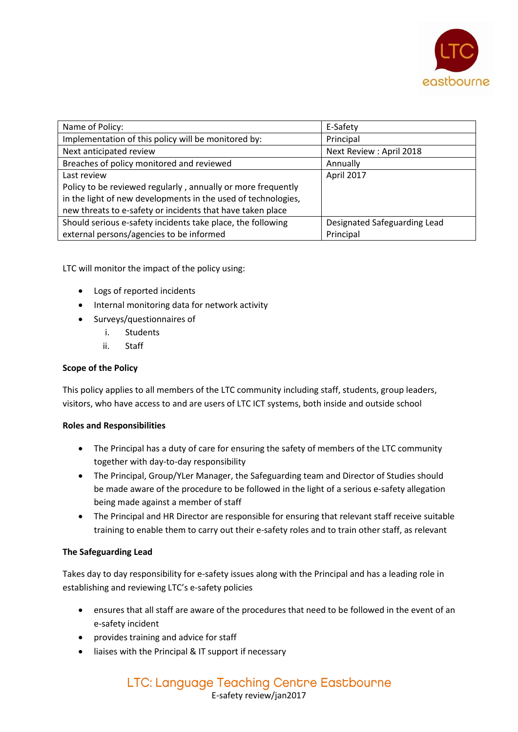

| Name of Policy:                                               | E-Safety                     |
|---------------------------------------------------------------|------------------------------|
| Implementation of this policy will be monitored by:           | Principal                    |
|                                                               |                              |
| Next anticipated review                                       | Next Review: April 2018      |
| Breaches of policy monitored and reviewed                     | Annually                     |
| Last review                                                   | April 2017                   |
| Policy to be reviewed regularly, annually or more frequently  |                              |
| in the light of new developments in the used of technologies, |                              |
| new threats to e-safety or incidents that have taken place    |                              |
| Should serious e-safety incidents take place, the following   | Designated Safeguarding Lead |
| external persons/agencies to be informed                      | Principal                    |

LTC will monitor the impact of the policy using:

- Logs of reported incidents
- Internal monitoring data for network activity
- Surveys/questionnaires of
	- i. Students
	- ii. Staff

## **Scope of the Policy**

This policy applies to all members of the LTC community including staff, students, group leaders, visitors, who have access to and are users of LTC ICT systems, both inside and outside school

## **Roles and Responsibilities**

- The Principal has a duty of care for ensuring the safety of members of the LTC community together with day-to-day responsibility
- The Principal, Group/YLer Manager, the Safeguarding team and Director of Studies should be made aware of the procedure to be followed in the light of a serious e-safety allegation being made against a member of staff
- The Principal and HR Director are responsible for ensuring that relevant staff receive suitable training to enable them to carry out their e-safety roles and to train other staff, as relevant

## **The Safeguarding Lead**

Takes day to day responsibility for e-safety issues along with the Principal and has a leading role in establishing and reviewing LTC's e-safety policies

- ensures that all staff are aware of the procedures that need to be followed in the event of an e-safety incident
- provides training and advice for staff
- liaises with the Principal & IT support if necessary